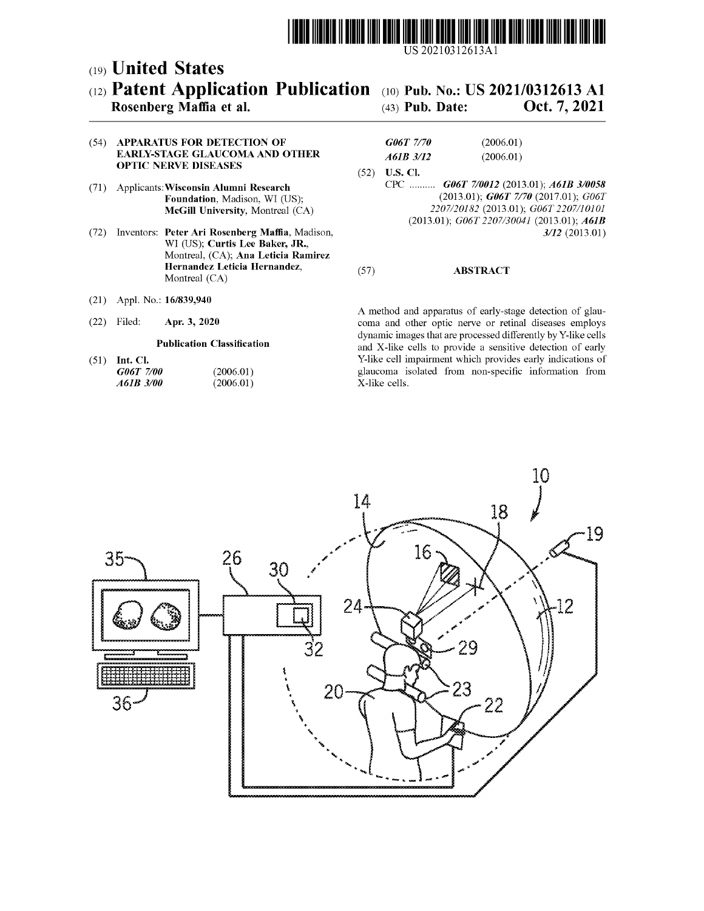

US 20210312613Al

## c19) **United States**  c12) **Patent Application Publication**  c10) **Pub. No.: US 2021/0312613 Al**

### **Rosenberg Maffia et al.**

# (43) **Pub. Date: Oct. 7, 2021**

#### (54) **APPARATUS FOR DETECTION OF EARLY-STAGE GLAUCOMA AND OTHER OPTIC NERVE DISEASES**

- (71) Applicants: **Wisconsin Alumni Research Foundation,** Madison, WI (US); **McGill University,** Montreal (CA)
- (72) Inventors: **Peter Ari Rosenberg Maffia,** Madison, WI (US); **Curtis Lee Baker, JR.,**  Montreal, (CA); **Ana Leticia Ramirez Hernandez Leticia Hernandez,**  Montreal (CA)
- (21) Appl. No.: **16/839,940**
- (22) Filed: **Apr. 3, 2020**

#### **Publication Classification**

(51) **Int. Cl.**  *G06T 7100 A61B 3/00*  (2006.01) (2006.01)

- *G06T 7170 A61B 3112*  (2006.01) (2006.01)
- (52) **U.S. Cl.**  CPC .......... *G06T 710012* (2013.01); *A61B 3/0058*  (2013.01); *G06T 7170* (2017.01); *G06T 2207/20182* (2013.01); *G06T 2207/10101*  (2013.01); *G06T 2207/30041* (2013.01); *A61B 3112* (2013.01)

#### (57) **ABSTRACT**

A method and apparatus of early-stage detection of glaucoma and other optic nerve or retinal diseases employs dynamic images that are processed differently by Y-like cells and X-like cells to provide a sensitive detection of early Y-like cell impairment which provides early indications of glaucoma isolated from non-specific information from X-like cells.

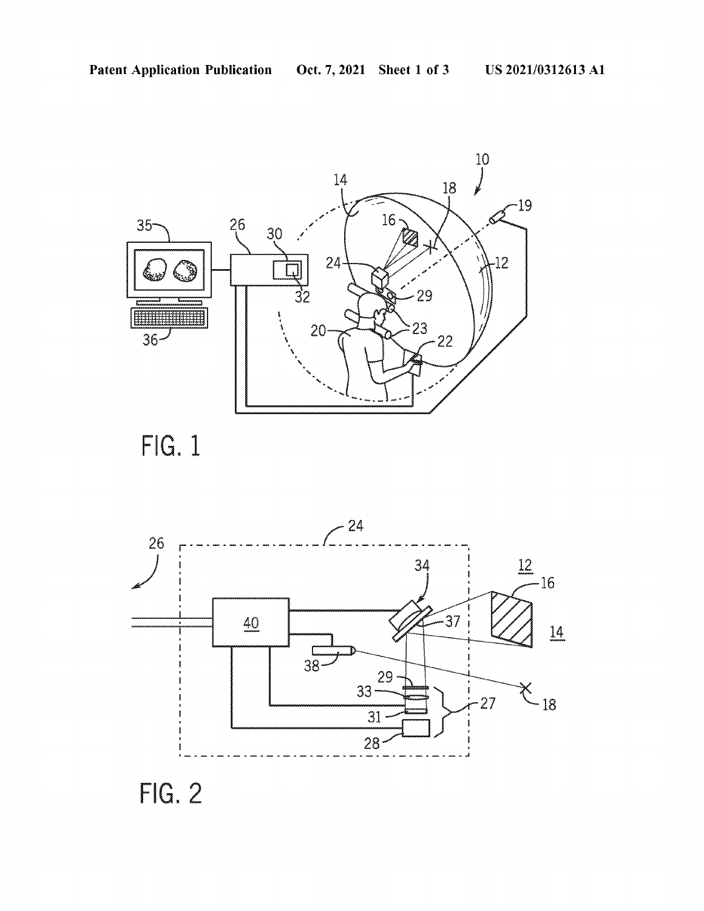





FIG. 2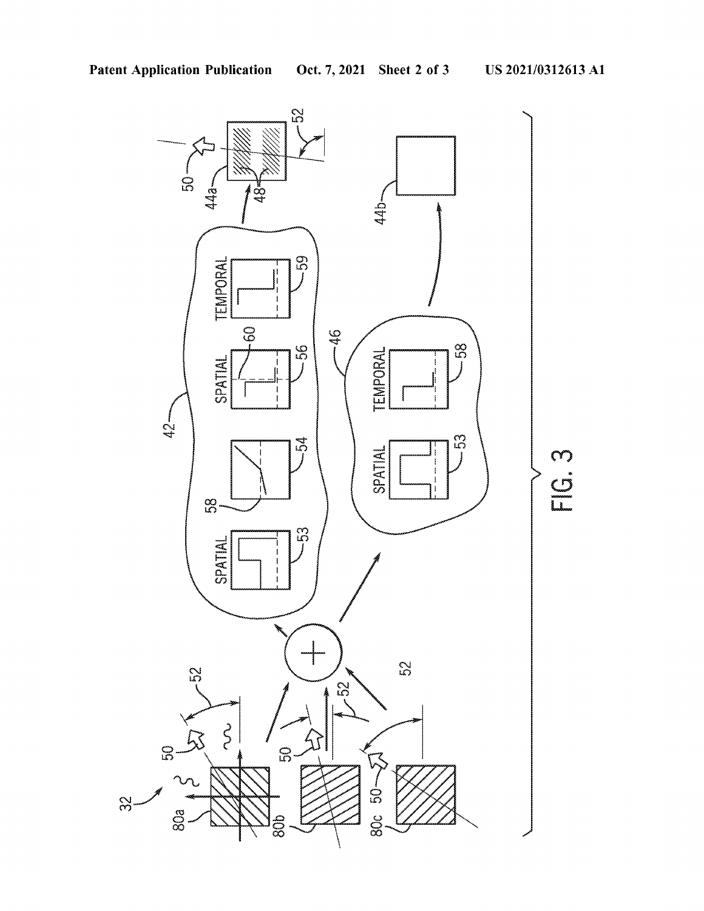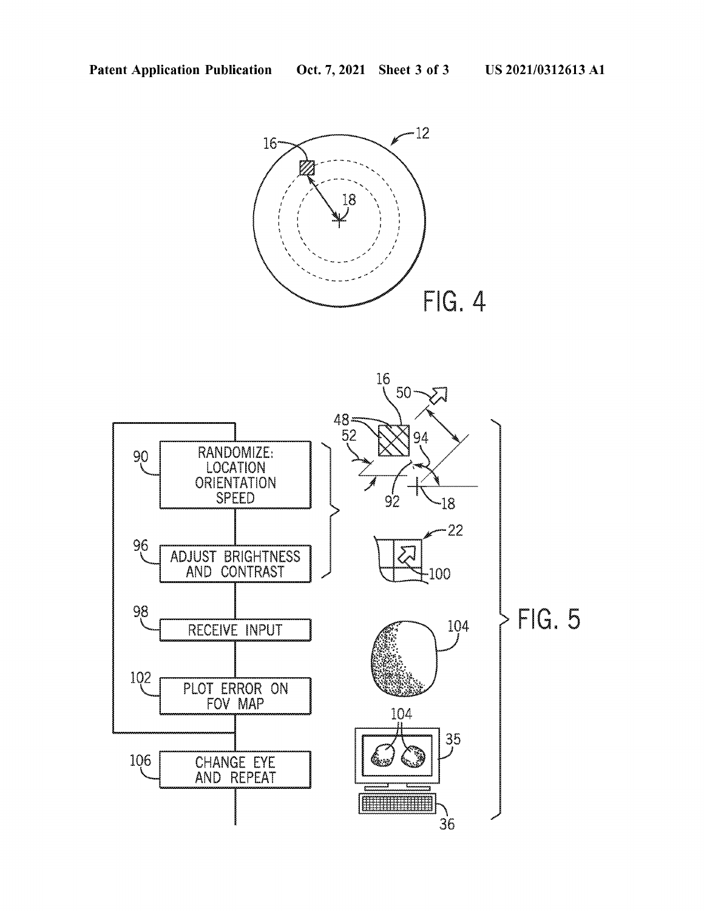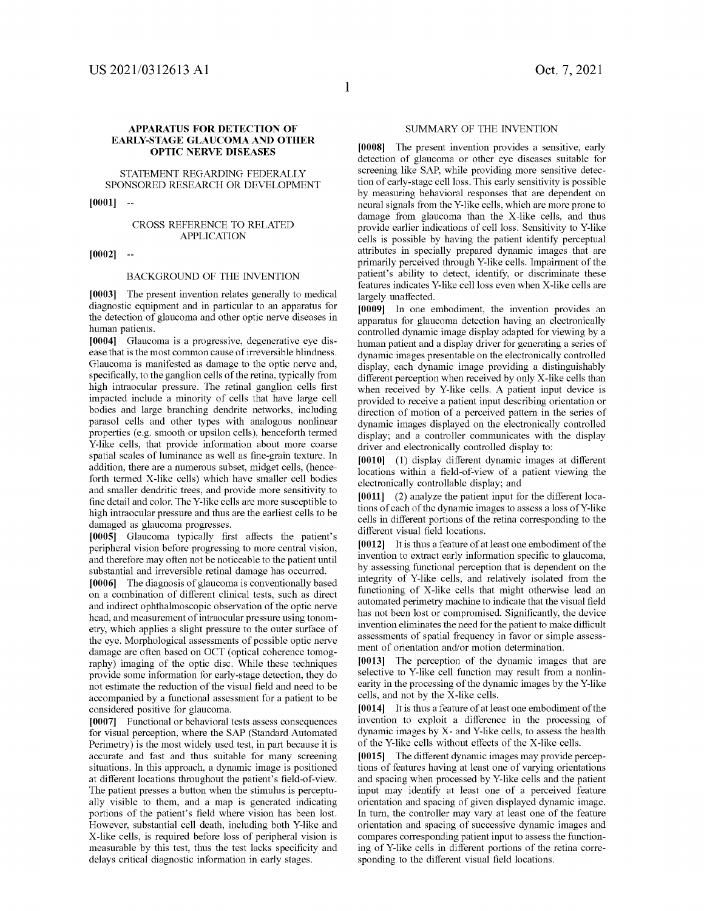#### **APPARATUS FOR DETECTION OF EARLY-STAGE GLAUCOMA AND OTHER OPTIC NERVE DISEASES**

STATEMENT REGARDING FEDERALLY SPONSORED RESEARCH OR DEVELOPMENT

**[0001]** 

#### CROSS REFERENCE TO RELATED APPLICATION

**[0002]** 

#### BACKGROUND OF THE INVENTION

**[0003]** The present invention relates generally to medical diagnostic equipment and in particular to an apparatus for the detection of glaucoma and other optic nerve diseases in human patients.

**[0004]** Glaucoma is a progressive, degenerative eye disease that is the most common cause of irreversible blindness. Glaucoma is manifested as damage to the optic nerve and, specifically, to the ganglion cells of the retina, typically from high intraocular pressure. The retinal ganglion cells first impacted include a minority of cells that have large cell bodies and large branching dendrite networks, including parasol cells and other types with analogous nonlinear properties (e.g. smooth or upsilon cells), henceforth termed Y-like cells, that provide information about more coarse spatial scales of luminance as well as fine-grain texture. In addition, there are a numerous subset, midget cells, (henceforth termed X-like cells) which have smaller cell bodies and smaller dendritic trees, and provide more sensitivity to fine detail and color. The Y-like cells are more susceptible to high intraocular pressure and thus are the earliest cells to be damaged as glaucoma progresses.

**[0005]** Glaucoma typically first affects the patient's peripheral vision before progressing to more central vision, and therefore may often not be noticeable to the patient until substantial and irreversible retinal damage has occurred.

**[0006]** The diagnosis of glaucoma is conventionally based on a combination of different clinical tests, such as direct and indirect ophthalmoscopic observation of the optic nerve head, and measurement of intraocular pressure using tonometry, which applies a slight pressure to the outer surface of the eye. Morphological assessments of possible optic nerve damage are often based on OCT (optical coherence tomography) imaging of the optic disc. While these techniques provide some information for early-stage detection, they do not estimate the reduction of the visual field and need to be accompanied by a functional assessment for a patient to be considered positive for glaucoma.

**[0007]** Functional or behavioral tests assess consequences for visual perception, where the SAP (Standard Automated Perimetry) is the most widely used test, in part because it is accurate and fast and thus suitable for many screening situations. In this approach, a dynamic image is positioned at different locations throughout the patient's field-of-view. The patient presses a button when the stimulus is perceptually visible to them, and a map is generated indicating portions of the patient's field where vision has been lost. However, substantial cell death, including both Y-like and X-like cells, is required before loss of peripheral vision is measurable by this test, thus the test lacks specificity and delays critical diagnostic information in early stages.

#### SUMMARY OF THE INVENTION

**[0008]** The present invention provides a sensitive, early detection of glaucoma or other eye diseases suitable for screening like SAP, while providing more sensitive detection of early-stage cell loss. This early sensitivity is possible by measuring behavioral responses that are dependent on neural signals from the Y-like cells, which are more prone to damage from glaucoma than the X-like cells, and thus provide earlier indications of cell loss. Sensitivity to Y-like cells is possible by having the patient identify perceptual attributes in specially prepared dynamic images that are primarily perceived through Y-like cells. Impairment of the patient's ability to detect, identify, or discriminate these features indicates Y-like cell loss even when X-like cells are largely unaffected.

**[0009]** In one embodiment, the invention provides an apparatus for glaucoma detection having an electronically controlled dynamic image display adapted for viewing by a human patient and a display driver for generating a series of dynamic images presentable on the electronically controlled display, each dynamic image providing a distinguishably different perception when received by only X-like cells than when received by Y-like cells. A patient input device is provided to receive a patient input describing orientation or direction of motion of a perceived pattern in the series of dynamic images displayed on the electronically controlled display; and a controller communicates with the display driver and electronically controlled display to:

**[0010]** (1) display different dynamic images at different locations within a field-of-view of a patient viewing the electronically controllable display; and

**[0011]** (2) analyze the patient input for the different locations of each of the dynamic images to assess a loss ofY-like cells in different portions of the retina corresponding to the different visual field locations.

**[0012]** It is thus a feature of at least one embodiment of the invention to extract early information specific to glaucoma, by assessing functional perception that is dependent on the integrity of Y-like cells, and relatively isolated from the functioning of X-like cells that might otherwise lead an automated perimetry machine to indicate that the visual field has not been lost or compromised. Significantly, the device invention eliminates the need for the patient to make difficult assessments of spatial frequency in favor or simple assessment of orientation and/or motion determination.

**[0013]** The perception of the dynamic images that are selective to Y-like cell function may result from a nonlinearity in the processing of the dynamic images by the Y-like cells, and not by the X-like cells.

**[0014]** It is thus a feature of at least one embodiment of the invention to exploit a difference in the processing of dynamic images by X- and Y-like cells, to assess the health of the Y-like cells without effects of the X-like cells.

**[0015]** The different dynamic images may provide perceptions of features having at least one of varying orientations and spacing when processed by Y-like cells and the patient input may identify at least one of a perceived feature orientation and spacing of given displayed dynamic image. In turn, the controller may vary at least one of the feature orientation and spacing of successive dynamic images and compares corresponding patient input to assess the functioning of Y-like cells in different portions of the retina corresponding to the different visual field locations.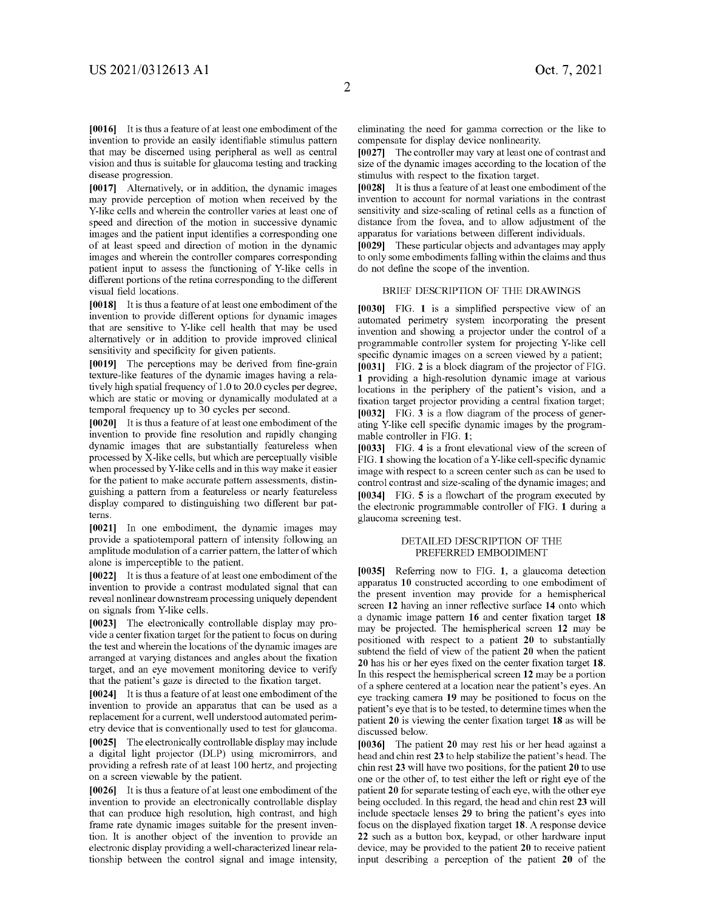[0016] It is thus a feature of at least one embodiment of the invention to provide an easily identifiable stimulus pattern that may be discerned using peripheral as well as central vision and thus is suitable for glaucoma testing and tracking disease progression.

**[0017]** Alternatively, or in addition, the dynamic images may provide perception of motion when received by the Y-like cells and wherein the controller varies at least one of speed and direction of the motion in successive dynamic images and the patient input identifies a corresponding one of at least speed and direction of motion in the dynamic images and wherein the controller compares corresponding patient input to assess the functioning of Y-like cells in different portions of the retina corresponding to the different visual field locations.

[0018] It is thus a feature of at least one embodiment of the invention to provide different options for dynamic images that are sensitive to Y-like cell health that may be used alternatively or in addition to provide improved clinical sensitivity and specificity for given patients.

**[0019]** The perceptions may be derived from fine-grain texture-like features of the dynamic images having a relatively high spatial frequency of 1.0 to 20.0 cycles per degree, which are static or moving or dynamically modulated at a temporal frequency up to 30 cycles per second.

[0020] It is thus a feature of at least one embodiment of the invention to provide fine resolution and rapidly changing dynamic images that are substantially featureless when processed by X-like cells, but which are perceptually visible when processed by Y-like cells and in this way make it easier for the patient to make accurate pattern assessments, distinguishing a pattern from a featureless or nearly featureless display compared to distinguishing two different bar patterns.

**[0021]** In one embodiment, the dynamic images may provide a spatiotemporal pattern of intensity following an amplitude modulation of a carrier pattern, the latter of which alone is imperceptible to the patient.

[0022] It is thus a feature of at least one embodiment of the invention to provide a contrast modulated signal that can reveal nonlinear downstream processing uniquely dependent on signals from Y-like cells.

**[0023]** The electronically controllable display may provide a center fixation target for the patient to focus on during the test and wherein the locations of the dynamic images are arranged at varying distances and angles about the fixation target, and an eye movement monitoring device to verify that the patient's gaze is directed to the fixation target.

[0024] It is thus a feature of at least one embodiment of the invention to provide an apparatus that can be used as a replacement for a current, well understood automated perimetry device that is conventionally used to test for glaucoma.

**[0025]** The electronically controllable display may include a digital light projector (DLP) using micromirrors, and providing a refresh rate of at least 100 hertz, and projecting on a screen viewable by the patient.

[0026] It is thus a feature of at least one embodiment of the invention to provide an electronically controllable display that can produce high resolution, high contrast, and high frame rate dynamic images suitable for the present invention. It is another object of the invention to provide an electronic display providing a well-characterized linear relationship between the control signal and image intensity, eliminating the need for gamma correction or the like to compensate for display device nonlinearity.

**[0027]** The controller may vary at least one of contrast and size of the dynamic images according to the location of the stimulus with respect to the fixation target.

**[0028]** It is thus a feature of at least one embodiment of the invention to account for normal variations in the contrast sensitivity and size-scaling of retinal cells as a function of distance from the fovea, and to allow adjustment of the apparatus for variations between different individuals.

**[0029]** These particular objects and advantages may apply to only some embodiments falling within the claims and thus do not define the scope of the invention.

#### BRIEF DESCRIPTION OF THE DRAWINGS

**[0030]** FIG. **1** is a simplified perspective view of an automated perimetry system incorporating the present invention and showing a projector under the control of a programmable controller system for projecting Y-like cell specific dynamic images on a screen viewed by a patient; **[0031]** FIG. **2** is a block diagram of the projector of FIG. **1** providing a high-resolution dynamic image at various locations in the periphery of the patient's vision, and a fixation target projector providing a central fixation target; **[0032]** FIG. **3** is a flow diagram of the process of generating Y-like cell specific dynamic images by the programmable controller in FIG. **1;** 

**[0033]** FIG. **4** is a front elevational view of the screen of FIG. **1** showing the location of a Y-like cell-specific dynamic image with respect to a screen center such as can be used to control contrast and size-scaling of the dynamic images; and **[0034]** FIG. **5** is a flowchart of the program executed by the electronic programmable controller of FIG. **1** during a glaucoma screening test.

#### DETAILED DESCRIPTION OF THE PREFERRED EMBODIMENT

**[0035]** Referring now to FIG. **1,** a glaucoma detection apparatus **10** constructed according to one embodiment of the present invention may provide for a hemispherical screen **12** having an inner reflective surface **14** onto which a dynamic image pattern **16** and center fixation target **18**  may be projected. The hemispherical screen **12** may be positioned with respect to a patient **20** to substantially subtend the field of view of the patient **20** when the patient **20** has his or her eyes fixed on the center fixation target **18.**  In this respect the hemispherical screen **12** may be a portion of a sphere centered at a location near the patient's eyes. An eye tracking camera **19** may be positioned to focus on the patient's eye that is to be tested, to determine times when the patient **20** is viewing the center fixation target **18** as will be discussed below.

**[0036]** The patient **20** may rest his or her head against a head and chin rest **23** to help stabilize the patient's head. The chin rest **23** will have two positions, for the patient **20** to use one or the other of, to test either the left or right eye of the patient **20** for separate testing of each eye, with the other eye being occluded. In this regard, the head and chin rest **23** will include spectacle lenses **29** to bring the patient's eyes into focus on the displayed fixation target **18.** A response device **22** such as a button box, keypad, or other hardware input device, may be provided to the patient **20** to receive patient input describing a perception of the patient **20** of the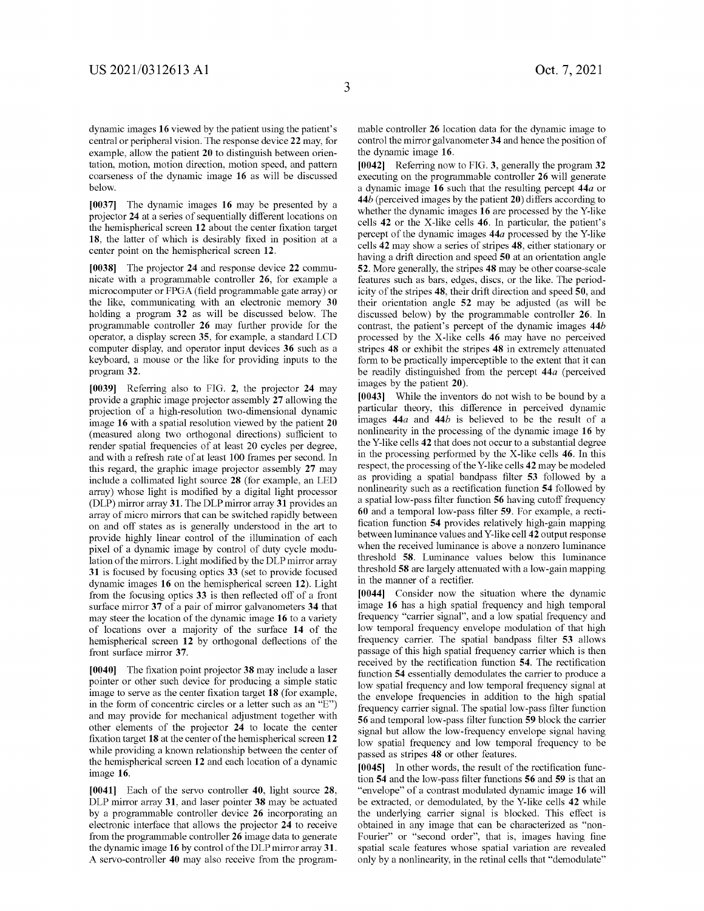dynamic images **16** viewed by the patient using the patient's central or peripheral vision. The response device **22** may, for example, allow the patient **20** to distinguish between orientation, motion, motion direction, motion speed, and pattern coarseness of the dynamic image **16** as will be discussed below.

**[0037]** The dynamic images **16** may be presented by a projector **24** at a series of sequentially different locations on the hemispherical screen **12** about the center fixation target **18,** the latter of which is desirably fixed in position at a center point on the hemispherical screen **12.** 

**[0038]** The projector **24** and response device **22** communicate with a programmable controller **26,** for example a microcomputer or FPGA (field programmable gate array) or the like, communicating with an electronic memory **30**  holding a program **32** as will be discussed below. The programmable controller **26** may further provide for the operator, a display screen **35,** for example, a standard LCD computer display, and operator input devices **36** such as a keyboard, a mouse or the like for providing inputs to the program **32.** 

**[0039]** Referring also to FIG. **2,** the projector **24** may provide a graphic image projector assembly **27** allowing the projection of a high-resolution two-dimensional dynamic image **16** with a spatial resolution viewed by the patient **20**  (measured along two orthogonal directions) sufficient to render spatial frequencies of at least 20 cycles per degree, and with a refresh rate of at least 100 frames per second. In this regard, the graphic image projector assembly **27** may include a collimated light source **28** (for example, an LED array) whose light is modified by a digital light processor (DLP) mirror array **31.** The DLP mirror array **31** provides an array of micro mirrors that can be switched rapidly between on and off states as is generally understood in the art to provide highly linear control of the illumination of each pixel of a dynamic image by control of duty cycle modulation of the mirrors. Light modified by the DLP mirror array **31** is focused by focusing optics **33** (set to provide focused dynamic images **16** on the hemispherical screen **12).** Light from the focusing optics **33** is then reflected off of a front surface mirror **37** of a pair of mirror galvanometers **34** that may steer the location of the dynamic image **16** to a variety of locations over a majority of the surface **14** of the hemispherical screen **12** by orthogonal deflections of the front surface mirror **37.** 

**[0040]** The fixation point projector **38** may include a laser pointer or other such device for producing a simple static image to serve as the center fixation target **18** (for example, in the form of concentric circles or a letter such as an "E") and may provide for mechanical adjustment together with other elements of the projector **24** to locate the center fixation target **18** at the center of the hemispherical screen **12**  while providing a known relationship between the center of the hemispherical screen **12** and each location of a dynamic image **16.** 

**[0041]** Each of the servo controller **40,** light source **28,**  DLP mirror array **31,** and laser pointer **38** may be actuated by a programmable controller device **26** incorporating an electronic interface that allows the projector **24** to receive from the programmable controller **26** image data to generate the dynamic image **16** by control of the DLP mirror array **31.**  A servo-controller **40** may also receive from the programmable controller **26** location data for the dynamic image to control the mirror galvanometer **34** and hence the position of the dynamic image **16.** 

**[0042]** Referring now to FIG. **3,** generally the program **32**  executing on the programmable controller **26** will generate a dynamic image **16** such that the resulting percept *44a* or *44b* (perceived images by the patient **20)** differs according to whether the dynamic images **16** are processed by the Y-like cells **42** or the X-like cells **46.** In particular, the patient's percept of the dynamic images *44a* processed by the Y-like cells **42** may show a series of stripes **48,** either stationary or having a drift direction and speed **50** at an orientation angle **52.** More generally, the stripes **48** may be other coarse-scale features such as bars, edges, discs, or the like. The periodicity of the stripes **48,** their drift direction and speed **50,** and their orientation angle **52** may be adjusted (as will be discussed below) by the programmable controller **26.** In contrast, the patient's percept of the dynamic images *44b*  processed by the X-like cells **46** may have no perceived stripes **48** or exhibit the stripes **48** in extremely attenuated form to be practically imperceptible to the extent that it can be readily distinguished from the percept *44a* (perceived images by the patient **20).** 

**[0043]** While the inventors do not wish to be bound by a particular theory, this difference in perceived dynamic images *44a* and *44b* is believed to be the result of a nonlinearity in the processing of the dynamic image **16** by the Y-like cells **42** that does not occur to a substantial degree in the processing performed by the X-like cells **46.** In this respect, the processing of the Y-like cells **42** may be modeled as providing a spatial bandpass filter **53** followed by a nonlinearity such as a rectification function **54** followed by a spatial low-pass filter function **56** having cutoff frequency **60** and a temporal low-pass filter **59.** For example, a rectification function **54** provides relatively high-gain mapping between luminance values and Y-like cell **42** output response when the received luminance is above a nonzero luminance threshold **58.** Luminance values below this luminance threshold **58** are largely attenuated with a low-gain mapping in the manner of a rectifier.

**[0044]** Consider now the situation where the dynamic image **16** has a high spatial frequency and high temporal frequency "carrier signal", and a low spatial frequency and low temporal frequency envelope modulation of that high frequency carrier. The spatial bandpass filter **53** allows passage of this high spatial frequency carrier which is then received by the rectification function **54.** The rectification function **54** essentially demodulates the carrier to produce a low spatial frequency and low temporal frequency signal at the envelope frequencies in addition to the high spatial frequency carrier signal. The spatial low-pass filter function **56** and temporal low-pass filter function **59** block the carrier signal but allow the low-frequency envelope signal having low spatial frequency and low temporal frequency to be passed as stripes **48** or other features.

**[0045]** In other words, the result of the rectification function **54** and the low-pass filter functions **56** and **59** is that an "envelope" of a contrast modulated dynamic image **16** will be extracted, or demodulated, by the Y-like cells **42** while the underlying carrier signal is blocked. This effect is obtained in any image that can be characterized as "non-Fourier" or "second order", that is, images having fine spatial scale features whose spatial variation are revealed only by a nonlinearity, in the retinal cells that "demodulate"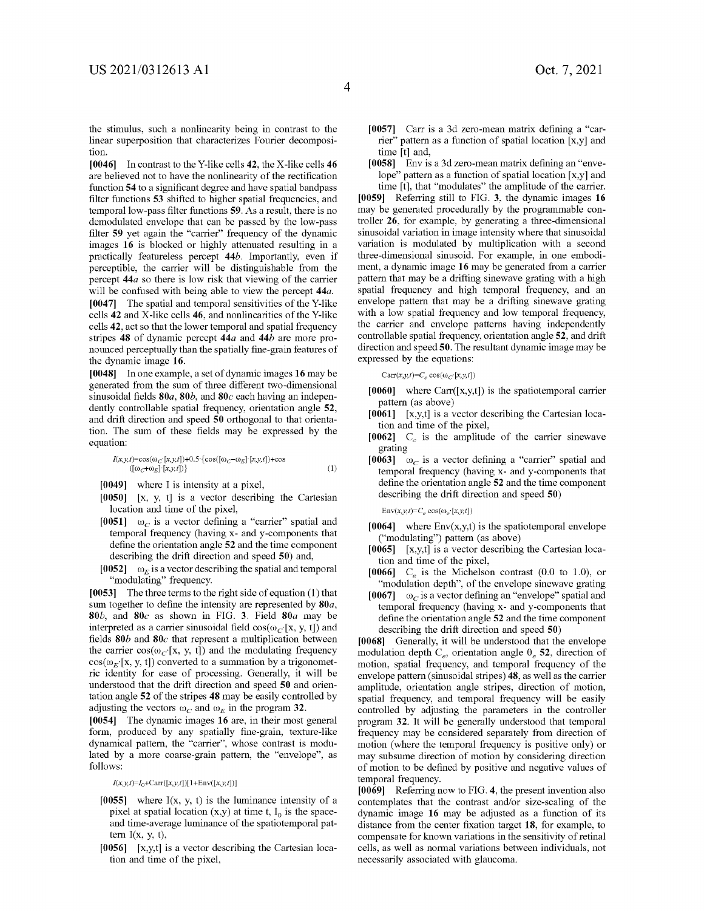**[0046]** In contrast to the Y-like cells **42,** the X-like cells **46**  are believed not to have the nonlinearity of the rectification function **54** to a significant degree and have spatial bandpass filter functions **53** shifted to higher spatial frequencies, and temporal low-pass filter functions **59.** As a result, there is no demodulated envelope that can be passed by the low-pass filter **59** yet again the "carrier" frequency of the dynamic images **16** is blocked or highly attenuated resulting in a practically featureless percept *44b.* Importantly, even if perceptible, the carrier will be distinguishable from the percept *44a* so there is low risk that viewing of the carrier will be confused with being able to view the percept *44a.*  **[0047]** The spatial and temporal sensitivities of the Y-like cells **42** and X-like cells **46,** and nonlinearities of the Y-like cells **42,** act so that the lower temporal and spatial frequency stripes **48** of dynamic percept *44a* **and** *44b* are more pronounced perceptually than the spatially fine-grain features of the dynamic image **16.** 

**[0048]** In one example, a set of dynamic images **16** may be generated from the sum of three different two-dimensional sinusoidal fields *80a, 80b,* **and 80c** each having an independently controllable spatial frequency, orientation angle **52,**  and drift direction and speed **50** orthogonal to that orientation. The sum of these fields may be expressed by the equation:

 $I(x, y, t) = \cos(\omega_C \{x, y, t\}) + 0.5 \cdot \{ \cos([\omega_C - \omega_E] \{x, y, t\}) + \cos$ *([wc+wEl[x,y,t])}* (1)

**[0049]** where I is intensity at a pixel,

- **[0050]** [x, y, t] is a vector describing the Cartesian location and time of the pixel,
- [0051]  $\omega_c$  is a vector defining a "carrier" spatial and temporal frequency (having x- and y-components that define the orientation angle **52** and the time component describing the drift direction and speed **50)** and,
- [0052]  $\omega_E$  is a vector describing the spatial and temporal "modulating" frequency.

**[0053]** The three terms to the right side of equation (1) that sum together to define the intensity are represented by *80a, 80b,* and **80c** as shown in FIG. **3.** Field *80a* may be interpreted as a carrier sinusoidal field  $cos(\omega_C[x, y, t])$  and fields *80b* and **80c** that represent a multiplication between the carrier  $cos(\omega_c)[x, y, t]$  and the modulating frequency  $cos(\omega<sub>E</sub> [x, y, t])$  converted to a summation by a trigonometric identity for ease of processing. Generally, it will be understood that the drift direction and speed **50** and orientation angle **52** of the stripes **48** may be easily controlled by adjusting the vectors  $\omega_C$  and  $\omega_E$  in the program 32.

**[0054]** The dynamic images **16** are, in their most general form, produced by any spatially fine-grain, texture-like dynamical pattern, the "carrier", whose contrast is modulated by a more coarse-grain pattern, the "envelope", as follows:

 $I(x, y, t) = I_0 + \text{Carr}([x, y, t])[1 + \text{Env}([x, y, t])]$ 

- **[0055]** where I(x, y, t) is the luminance intensity of a pixel at spatial location  $(x,y)$  at time t,  $I_0$  is the spaceand time-average luminance of the spatiotemporal pattern  $I(x, y, t)$ ,
- **[0056]** [x,y,t] is a vector describing the Cartesian location and time of the pixel,

**[0057]** Carr is a 3d zero-mean matrix defining a "carrier" pattern as a function of spatial location [x,y] and time [t] and,

**[0058]** Env is a 3d zero-mean matrix defining an "envelope" pattern as a function of spatial location  $[x,y]$  and time [t], that "modulates" the amplitude of the carrier.

**[0059]** Referring still to FIG. **3,** the dynamic images **16**  may be generated procedurally by the programmable controller **26,** for example, by generating a three-dimensional sinusoidal variation in image intensity where that sinusoidal variation is modulated by multiplication with a second three-dimensional sinusoid. For example, in one embodiment, a dynamic image **16** may be generated from a carrier pattern that may be a drifting sinewave grating with a high spatial frequency and high temporal frequency, and an envelope pattern that may be a drifting sinewave grating with a low spatial frequency and low temporal frequency, the carrier and envelope patterns having independently controllable spatial frequency, orientation angle **52,** and drift direction and speed **50.** The resultant dynamic image may be expressed by the equations:

 $Carr(x, y, t) = C_c cos(\omega_C[x, y, t])$ 

- **[0060]** where Carr([x,y,t]) is the spatiotemporal carrier pattern (as above)
- **[0061]** [x,y,t] is a vector describing the Cartesian location and time of the pixel,
- [0062]  $C_c$  is the amplitude of the carrier sinewave grating
- [0063]  $\omega_C$  is a vector defining a "carrier" spatial and temporal frequency (having x- and y-components that define the orientation angle **52** and the time component describing the drift direction and speed **50)**

 $Env(x, y, t) = C_e cos(\omega_e [x, y, t])$ 

- **[0064]** where Env(x,y,t) is the spatiotemporal envelope ("modulating") pattern (as above)
- **[0065]** [x,y,t] is a vector describing the Cartesian location and time of the pixel,
- [0066]  $C_e$  is the Michelson contrast (0.0 to 1.0), or "modulation depth", of the envelope sinewave grating
- [0067]  $\omega_c$  is a vector defining an "envelope" spatial and temporal frequency (having x- and y-components that define the orientation angle **52** and the time component describing the drift direction and speed **50)**

**[0068]** Generally, it will be understood that the envelope modulation depth  $C_e$ , orientation angle  $\theta_e$  52, direction of motion, spatial frequency, and temporal frequency of the envelope pattern ( sinusoidal stripes) **48,** as well as the carrier amplitude, orientation angle stripes, direction of motion, spatial frequency, and temporal frequency will be easily controlled by adjusting the parameters in the controller program **32.** It will be generally understood that temporal frequency may be considered separately from direction of motion (where the temporal frequency is positive only) or may subsume direction of motion by considering direction of motion to be defined by positive and negative values of temporal frequency.

**[0069]** Referring now to FIG. **4,** the present invention also contemplates that the contrast and/or size-scaling of the dynamic image **16** may be adjusted as a function of its distance from the center fixation target **18,** for example, to compensate for known variations in the sensitivity of retinal cells, as well as normal variations between individuals, not necessarily associated with glaucoma.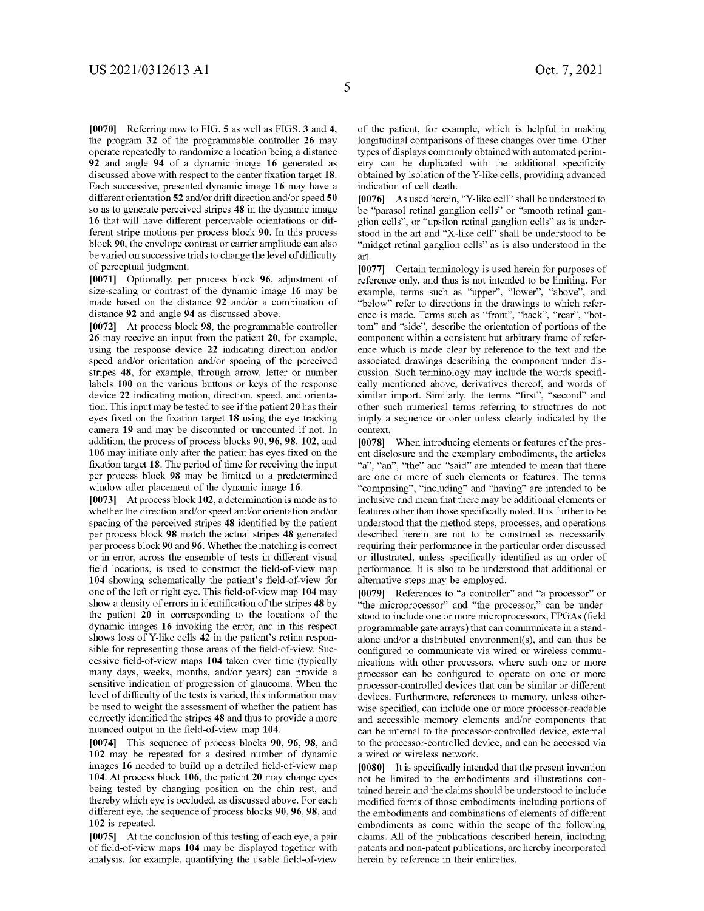**[0070]** Referring now to FIG. **5** as well as FIGS. **3** and **4,**  the program **32** of the programmable controller **26** may operate repeatedly to randomize a location being a distance **92** and angle **94** of a dynamic image **16** generated as discussed above with respect to the center fixation target **18.**  Each successive, presented dynamic image **16** may have a different orientation **52** and/or drift direction and/or speed **50**  so as to generate perceived stripes **48** in the dynamic image **16** that will have different perceivable orientations or different stripe motions per process block **90.** In this process block **90,** the envelope contrast or carrier amplitude can also be varied on successive trials to change the level of difficulty of perceptual judgment.

**[0071]** Optionally, per process block **96,** adjustment of size-scaling or contrast of the dynamic image **16** may be made based on the distance **92** and/or a combination of distance **92** and angle **94** as discussed above.

**[0072]** At process block **98,** the programmable controller **26** may receive an input from the patient **20,** for example, using the response device **22** indicating direction and/or speed and/or orientation and/or spacing of the perceived stripes **48,** for example, through arrow, letter or number labels **100** on the various buttons or keys of the response device **22** indicating motion, direction, speed, and orientation. This input may be tested to see if the patient **20** has their eyes fixed on the fixation target **18** using the eye tracking camera **19** and may be discounted or uncounted if not. In addition, the process of process blocks **90, 96, 98, 102,** and **106** may initiate only after the patient has eyes fixed on the fixation target **18.** The period of time for receiving the input per process block **98** may be limited to a predetermined window after placement of the dynamic image **16.** 

**[0073]** At process block **102,** a determination is made as to whether the direction and/or speed and/or orientation and/or spacing of the perceived stripes **48** identified by the patient per process block **98** match the actual stripes **48** generated per process block **90 and 96.** Whether the matching is correct or in error, across the ensemble of tests in different visual field locations, is used to construct the field-of-view map **104** showing schematically the patient's field-of-view for one of the left or right eye. This field-of-view map **104** may show a density of errors in identification of the stripes **48** by the patient **20** in corresponding to the locations of the dynamic images **16** invoking the error, and in this respect shows loss of Y-like cells 42 in the patient's retina responsible for representing those areas of the field-of-view. Successive field-of-view maps **104** taken over time (typically many days, weeks, months, and/or years) can provide a sensitive indication of progression of glaucoma. When the level of difficulty of the tests is varied, this information may be used to weight the assessment of whether the patient has correctly identified the stripes **48** and thus to provide a more nuanced output in the field-of-view map **104.** 

**[0074]** This sequence of process blocks **90, 96, 98,** and **102** may be repeated for a desired number of dynamic images **16** needed to build up a detailed field-of-view map **104.** At process block **106,** the patient **20** may change eyes being tested by changing position on the chin rest, and thereby which eye is occluded, as discussed above. For each different eye, the sequence of process blocks **90, 96, 98,** and **102** is repeated.

**[0075]** At the conclusion of this testing of each eye, a pair of field-of-view maps **104** may be displayed together with analysis, for example, quantifying the usable field-of-view

of the patient, for example, which is helpful in making longitudinal comparisons of these changes over time. Other types of displays commonly obtained with automated perimetry can be duplicated with the additional specificity obtained by isolation of the Y-like cells, providing advanced indication of cell death.

**[0076]** As used herein, "Y-like cell" shall be understood to be "parasol retinal ganglion cells" or "smooth retinal ganglion cells", or "upsilon retinal ganglion cells" as is understood in the art and "X-like cell" shall be understood to be "midget retinal ganglion cells" as is also understood in the art.

**[0077]** Certain terminology is used herein for purposes of reference only, and thus is not intended to be limiting. For example, terms such as "upper", "lower", "above", and "below" refer to directions in the drawings to which reference is made. Terms such as "front", "back", "rear", "bottom" and "side", describe the orientation of portions of the component within a consistent but arbitrary frame of reference which is made clear by reference to the text and the associated drawings describing the component under discussion. Such terminology may include the words specifically mentioned above, derivatives thereof, and words of similar import. Similarly, the terms "first", "second" and other such numerical terms referring to structures do not imply a sequence or order unless clearly indicated by the context.

**[0078]** When introducing elements or features of the present disclosure and the exemplary embodiments, the articles "a", "an", "the" and "said" are intended to mean that there are one or more of such elements or features. The terms "comprising", "including" and "having" are intended to be inclusive and mean that there may be additional elements or features other than those specifically noted. It is further to be understood that the method steps, processes, and operations described herein are not to be construed as necessarily requiring their performance in the particular order discussed or illustrated, unless specifically identified as an order of performance. It is also to be understood that additional or alternative steps may be employed.

**[0079]** References to "a controller" and "a processor" or "the microprocessor" and "the processor," can be understood to include one or more microprocessors, FPGAs (field programmable gate arrays) that can communicate in a standalone and/or a distributed environment(s), and can thus be configured to communicate via wired or wireless communications with other processors, where such one or more processor can be configured to operate on one or more processor-controlled devices that can be similar or different devices. Furthermore, references to memory, unless otherwise specified, can include one or more processor-readable and accessible memory elements and/or components that can be internal to the processor-controlled device, external to the processor-controlled device, and can be accessed via a wired or wireless network.

**[0080]** It is specifically intended that the present invention not be limited to the embodiments and illustrations contained herein and the claims should be understood to include modified forms of those embodiments including portions of the embodiments and combinations of elements of different embodiments as come within the scope of the following claims. All of the publications described herein, including patents and non-patent publications, are hereby incorporated herein by reference in their entireties.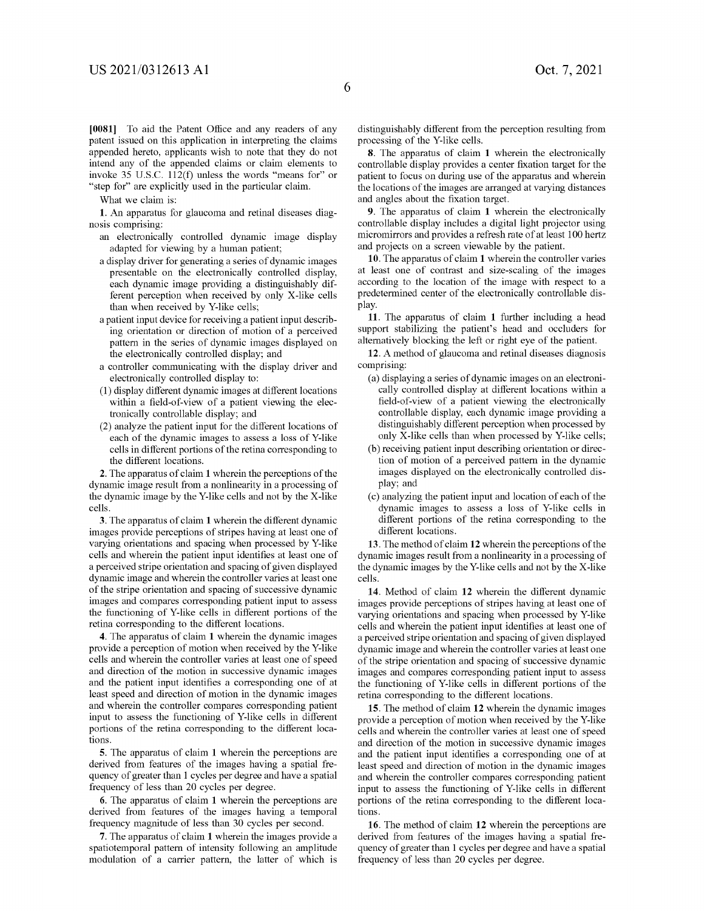**[0081]** To aid the Patent Office and any readers of any patent issued on this application in interpreting the claims appended hereto, applicants wish to note that they do not intend any of the appended claims or claim elements to invoke 35 U.S.C. 112(f) unless the words "means for" or "step for" are explicitly used in the particular claim.

What we claim is:

**1.** An apparatus for glaucoma and retinal diseases diagnosis comprising:

- an electronically controlled dynamic image display adapted for viewing by a human patient;
- a display driver for generating a series of dynamic images presentable on the electronically controlled display, each dynamic image providing a distinguishably different perception when received by only X-like cells than when received by Y-like cells;
- a patient input device for receiving a patient input describing orientation or direction of motion of a perceived pattern in the series of dynamic images displayed on the electronically controlled display; and
- a controller communicating with the display driver and electronically controlled display to:
- (1) display different dynamic images at different locations within a field-of-view of a patient viewing the electronically controllable display; and
- (2) analyze the patient input for the different locations of each of the dynamic images to assess a loss of Y-like cells in different portions of the retina corresponding to the different locations.

**2.** The apparatus of claim **1** wherein the perceptions of the dynamic image result from a nonlinearity in a processing of the dynamic image by the Y-like cells and not by the X-like cells.

**3.** The apparatus of claim **1** wherein the different dynamic images provide perceptions of stripes having at least one of varying orientations and spacing when processed by Y-like cells and wherein the patient input identifies at least one of a perceived stripe orientation and spacing of given displayed dynamic image and wherein the controller varies at least one of the stripe orientation and spacing of successive dynamic images and compares corresponding patient input to assess the functioning of Y-like cells in different portions of the retina corresponding to the different locations.

**4.** The apparatus of claim **1** wherein the dynamic images provide a perception of motion when received by the Y-like cells and wherein the controller varies at least one of speed and direction of the motion in successive dynamic images and the patient input identifies a corresponding one of at least speed and direction of motion in the dynamic images and wherein the controller compares corresponding patient input to assess the functioning of Y-like cells in different portions of the retina corresponding to the different locations.

**5.** The apparatus of claim **1** wherein the perceptions are derived from features of the images having a spatial frequency of greater than 1 cycles per degree and have a spatial frequency of less than 20 cycles per degree.

**6.** The apparatus of claim **1** wherein the perceptions are derived from features of the images having a temporal frequency magnitude of less than 30 cycles per second.

**7.** The apparatus of claim **1** wherein the images provide a spatiotemporal pattern of intensity following an amplitude modulation of a carrier pattern, the latter of which is distinguishably different from the perception resulting from processing of the Y-like cells.

**8.** The apparatus of claim **1** wherein the electronically controllable display provides a center fixation target for the patient to focus on during use of the apparatus and wherein the locations of the images are arranged at varying distances and angles about the fixation target.

**9.** The apparatus of claim **1** wherein the electronically controllable display includes a digital light projector using micromirrors and provides a refresh rate of at least 100 hertz and projects on a screen viewable by the patient.

**10.** The apparatus of claim **1** wherein the controller varies at least one of contrast and size-scaling of the images according to the location of the image with respect to a predetermined center of the electronically controllable display.

**11.** The apparatus of claim **1** further including a head support stabilizing the patient's head and occluders for alternatively blocking the left or right eye of the patient.

**12.** A method of glaucoma and retinal diseases diagnosis comprising:

- (a) displaying a series of dynamic images on an electronically controlled display at different locations within a field-of-view of a patient viewing the electronically controllable display, each dynamic image providing a distinguishably different perception when processed by only X-like cells than when processed by Y-like cells;
- (b) receiving patient input describing orientation or direction of motion of a perceived pattern in the dynamic images displayed on the electronically controlled display; and
- ( c) analyzing the patient input and location of each of the dynamic images to assess a loss of Y-like cells in different portions of the retina corresponding to the different locations.

**13.** The method of claim **12** wherein the perceptions of the dynamic images result from a nonlinearity in a processing of the dynamic images by the Y-like cells and not by the X-like cells.

**14.** Method of claim **12** wherein the different dynamic images provide perceptions of stripes having at least one of varying orientations and spacing when processed by Y-like cells and wherein the patient input identifies at least one of a perceived stripe orientation and spacing of given displayed dynamic image and wherein the controller varies at least one of the stripe orientation and spacing of successive dynamic images and compares corresponding patient input to assess the functioning of Y-like cells in different portions of the retina corresponding to the different locations.

**15.** The method of claim **12** wherein the dynamic images provide a perception of motion when received by the Y-like cells and wherein the controller varies at least one of speed and direction of the motion in successive dynamic images and the patient input identifies a corresponding one of at least speed and direction of motion in the dynamic images and wherein the controller compares corresponding patient input to assess the functioning of Y-like cells in different portions of the retina corresponding to the different locations.

**16.** The method of claim **12** wherein the perceptions are derived from features of the images having a spatial frequency of greater than 1 cycles per degree and have a spatial frequency of less than 20 cycles per degree.